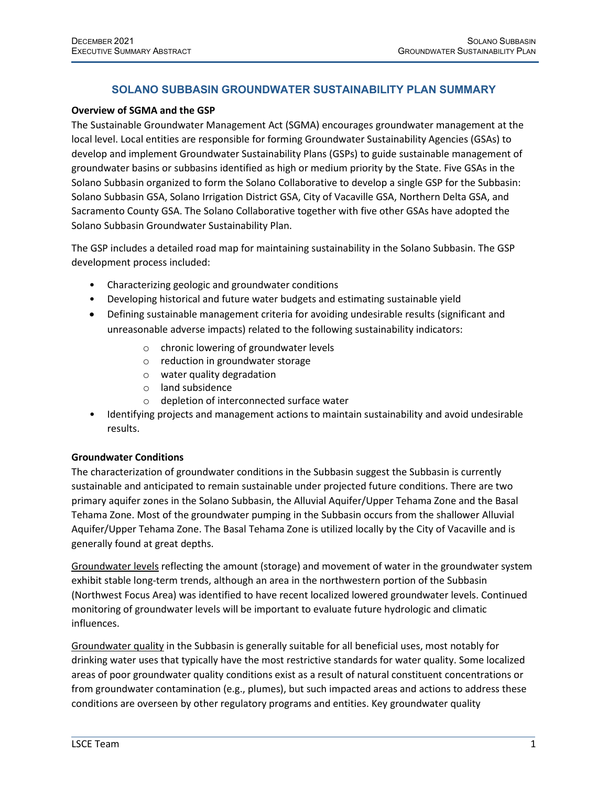# **SOLANO SUBBASIN GROUNDWATER SUSTAINABILITY PLAN SUMMARY**

#### **Overview of SGMA and the GSP**

The Sustainable Groundwater Management Act (SGMA) encourages groundwater management at the local level. Local entities are responsible for forming Groundwater Sustainability Agencies (GSAs) to develop and implement Groundwater Sustainability Plans (GSPs) to guide sustainable management of groundwater basins or subbasins identified as high or medium priority by the State. Five GSAs in the Solano Subbasin organized to form the Solano Collaborative to develop a single GSP for the Subbasin: Solano Subbasin GSA, Solano Irrigation District GSA, City of Vacaville GSA, Northern Delta GSA, and Sacramento County GSA. The Solano Collaborative together with five other GSAs have adopted the Solano Subbasin Groundwater Sustainability Plan.

The GSP includes a detailed road map for maintaining sustainability in the Solano Subbasin. The GSP development process included:

- Characterizing geologic and groundwater conditions
- Developing historical and future water budgets and estimating sustainable yield
- Defining sustainable management criteria for avoiding undesirable results (significant and unreasonable adverse impacts) related to the following sustainability indicators:
	- o chronic lowering of groundwater levels
	- o reduction in groundwater storage
	- o water quality degradation
	- o land subsidence
	- o depletion of interconnected surface water
- Identifying projects and management actions to maintain sustainability and avoid undesirable results.

### **Groundwater Conditions**

The characterization of groundwater conditions in the Subbasin suggest the Subbasin is currently sustainable and anticipated to remain sustainable under projected future conditions. There are two primary aquifer zones in the Solano Subbasin, the Alluvial Aquifer/Upper Tehama Zone and the Basal Tehama Zone. Most of the groundwater pumping in the Subbasin occurs from the shallower Alluvial Aquifer/Upper Tehama Zone. The Basal Tehama Zone is utilized locally by the City of Vacaville and is generally found at great depths.

Groundwater levels reflecting the amount (storage) and movement of water in the groundwater system exhibit stable long-term trends, although an area in the northwestern portion of the Subbasin (Northwest Focus Area) was identified to have recent localized lowered groundwater levels. Continued monitoring of groundwater levels will be important to evaluate future hydrologic and climatic influences.

Groundwater quality in the Subbasin is generally suitable for all beneficial uses, most notably for drinking water uses that typically have the most restrictive standards for water quality. Some localized areas of poor groundwater quality conditions exist as a result of natural constituent concentrations or from groundwater contamination (e.g., plumes), but such impacted areas and actions to address these conditions are overseen by other regulatory programs and entities. Key groundwater quality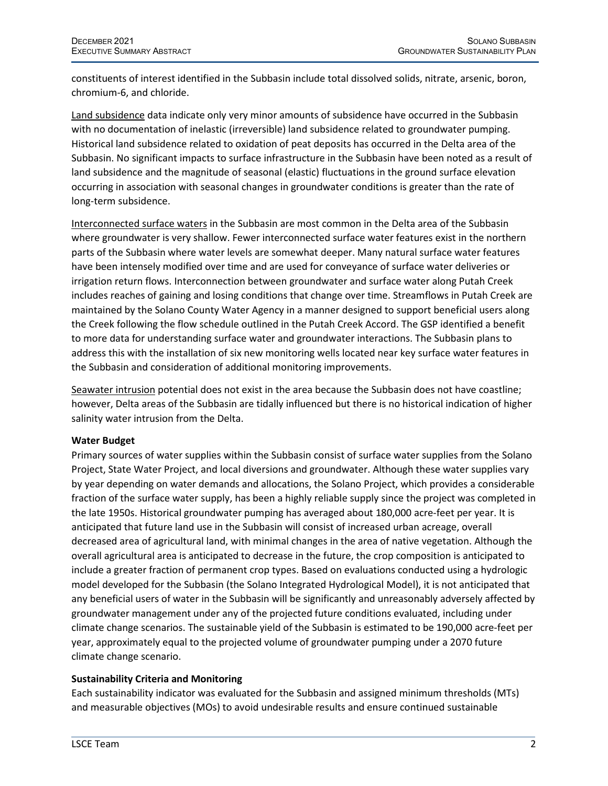constituents of interest identified in the Subbasin include total dissolved solids, nitrate, arsenic, boron, chromium-6, and chloride.

Land subsidence data indicate only very minor amounts of subsidence have occurred in the Subbasin with no documentation of inelastic (irreversible) land subsidence related to groundwater pumping. Historical land subsidence related to oxidation of peat deposits has occurred in the Delta area of the Subbasin. No significant impacts to surface infrastructure in the Subbasin have been noted as a result of land subsidence and the magnitude of seasonal (elastic) fluctuations in the ground surface elevation occurring in association with seasonal changes in groundwater conditions is greater than the rate of long-term subsidence.

Interconnected surface waters in the Subbasin are most common in the Delta area of the Subbasin where groundwater is very shallow. Fewer interconnected surface water features exist in the northern parts of the Subbasin where water levels are somewhat deeper. Many natural surface water features have been intensely modified over time and are used for conveyance of surface water deliveries or irrigation return flows. Interconnection between groundwater and surface water along Putah Creek includes reaches of gaining and losing conditions that change over time. Streamflows in Putah Creek are maintained by the Solano County Water Agency in a manner designed to support beneficial users along the Creek following the flow schedule outlined in the Putah Creek Accord. The GSP identified a benefit to more data for understanding surface water and groundwater interactions. The Subbasin plans to address this with the installation of six new monitoring wells located near key surface water features in the Subbasin and consideration of additional monitoring improvements.

Seawater intrusion potential does not exist in the area because the Subbasin does not have coastline; however, Delta areas of the Subbasin are tidally influenced but there is no historical indication of higher salinity water intrusion from the Delta.

## **Water Budget**

Primary sources of water supplies within the Subbasin consist of surface water supplies from the Solano Project, State Water Project, and local diversions and groundwater. Although these water supplies vary by year depending on water demands and allocations, the Solano Project, which provides a considerable fraction of the surface water supply, has been a highly reliable supply since the project was completed in the late 1950s. Historical groundwater pumping has averaged about 180,000 acre-feet per year. It is anticipated that future land use in the Subbasin will consist of increased urban acreage, overall decreased area of agricultural land, with minimal changes in the area of native vegetation. Although the overall agricultural area is anticipated to decrease in the future, the crop composition is anticipated to include a greater fraction of permanent crop types. Based on evaluations conducted using a hydrologic model developed for the Subbasin (the Solano Integrated Hydrological Model), it is not anticipated that any beneficial users of water in the Subbasin will be significantly and unreasonably adversely affected by groundwater management under any of the projected future conditions evaluated, including under climate change scenarios. The sustainable yield of the Subbasin is estimated to be 190,000 acre-feet per year, approximately equal to the projected volume of groundwater pumping under a 2070 future climate change scenario.

## **Sustainability Criteria and Monitoring**

Each sustainability indicator was evaluated for the Subbasin and assigned minimum thresholds (MTs) and measurable objectives (MOs) to avoid undesirable results and ensure continued sustainable